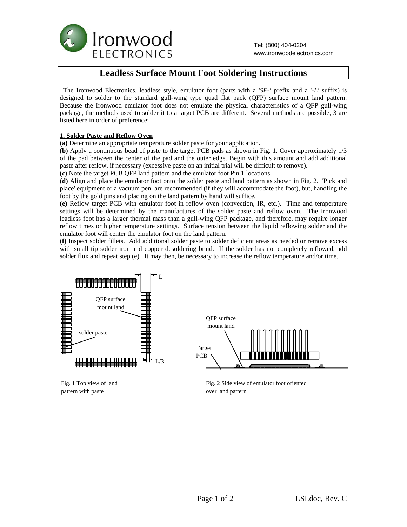

# **Leadless Surface Mount Foot Soldering Instructions**

 The Ironwood Electronics, leadless style, emulator foot (parts with a '*SF-'* prefix and a '*-L'* suffix) is designed to solder to the standard gull-wing type quad flat pack (QFP) surface mount land pattern. Because the Ironwood emulator foot does not emulate the physical characteristics of a QFP gull-wing package, the methods used to solder it to a target PCB are different. Several methods are possible, 3 are listed here in order of preference:

#### **1. Solder Paste and Reflow Oven**

Fig. 1 Top view of land pattern with paste

**(a)** Determine an appropriate temperature solder paste for your application.

**(b)** Apply a continuous bead of paste to the target PCB pads as shown in Fig. 1. Cover approximately 1/3 of the pad between the center of the pad and the outer edge. Begin with this amount and add additional paste after reflow, if necessary (excessive paste on an initial trial will be difficult to remove).

**(c)** Note the target PCB QFP land pattern and the emulator foot Pin 1 locations.

**(d)** Align and place the emulator foot onto the solder paste and land pattern as shown in Fig. 2. 'Pick and place' equipment or a vacuum pen, are recommended (if they will accommodate the foot), but, handling the foot by the gold pins and placing on the land pattern by hand will suffice.

**(e)** Reflow target PCB with emulator foot in reflow oven (convection, IR, etc.). Time and temperature settings will be determined by the manufactures of the solder paste and reflow oven. The Ironwood leadless foot has a larger thermal mass than a gull-wing QFP package, and therefore, may require longer reflow times or higher temperature settings. Surface tension between the liquid reflowing solder and the emulator foot will center the emulator foot on the land pattern.

**(f)** Inspect solder fillets. Add additional solder paste to solder deficient areas as needed or remove excess with small tip solder iron and copper desoldering braid. If the solder has not completely reflowed, add solder flux and repeat step (e). It may then, be necessary to increase the reflow temperature and/or time.



Fig. 2 Side view of emulator foot oriented over land pattern